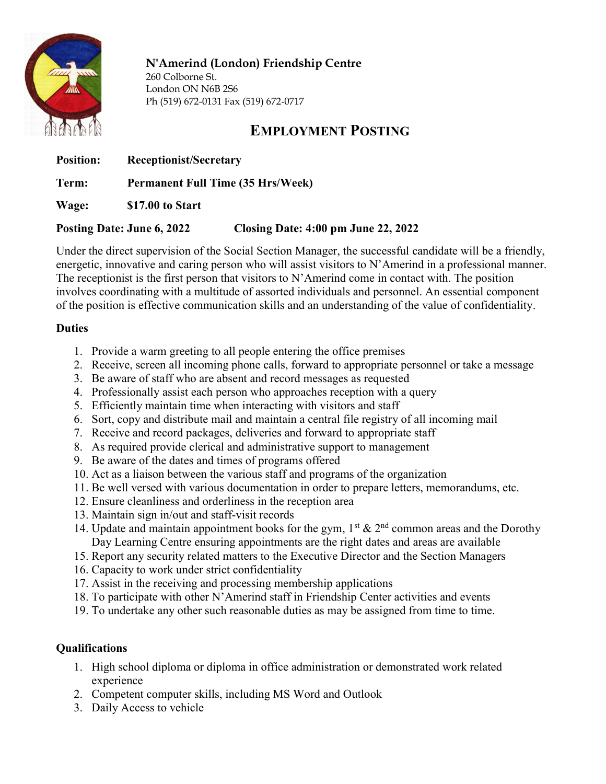

# N'Amerind (London) Friendship Centre

260 Colborne St. London ON N6B 2S6 Ph (519) 672-0131 Fax (519) 672-0717

# EMPLOYMENT POSTING

Position: Receptionist/Secretary

Term: Permanent Full Time (35 Hrs/Week)

Wage: \$17.00 to Start

## Posting Date: June 6, 2022 Closing Date: 4:00 pm June 22, 2022

Under the direct supervision of the Social Section Manager, the successful candidate will be a friendly, energetic, innovative and caring person who will assist visitors to N'Amerind in a professional manner. The receptionist is the first person that visitors to N'Amerind come in contact with. The position involves coordinating with a multitude of assorted individuals and personnel. An essential component of the position is effective communication skills and an understanding of the value of confidentiality.

## **Duties**

- 1. Provide a warm greeting to all people entering the office premises
- 2. Receive, screen all incoming phone calls, forward to appropriate personnel or take a message
- 3. Be aware of staff who are absent and record messages as requested
- 4. Professionally assist each person who approaches reception with a query
- 5. Efficiently maintain time when interacting with visitors and staff
- 6. Sort, copy and distribute mail and maintain a central file registry of all incoming mail
- 7. Receive and record packages, deliveries and forward to appropriate staff
- 8. As required provide clerical and administrative support to management
- 9. Be aware of the dates and times of programs offered
- 10. Act as a liaison between the various staff and programs of the organization
- 11. Be well versed with various documentation in order to prepare letters, memorandums, etc.
- 12. Ensure cleanliness and orderliness in the reception area
- 13. Maintain sign in/out and staff-visit records
- 14. Update and maintain appointment books for the gym,  $1^{st}$  &  $2^{nd}$  common areas and the Dorothy Day Learning Centre ensuring appointments are the right dates and areas are available
- 15. Report any security related matters to the Executive Director and the Section Managers
- 16. Capacity to work under strict confidentiality
- 17. Assist in the receiving and processing membership applications
- 18. To participate with other N'Amerind staff in Friendship Center activities and events
- 19. To undertake any other such reasonable duties as may be assigned from time to time.

# **Oualifications**

- 1. High school diploma or diploma in office administration or demonstrated work related experience
- 2. Competent computer skills, including MS Word and Outlook
- 3. Daily Access to vehicle